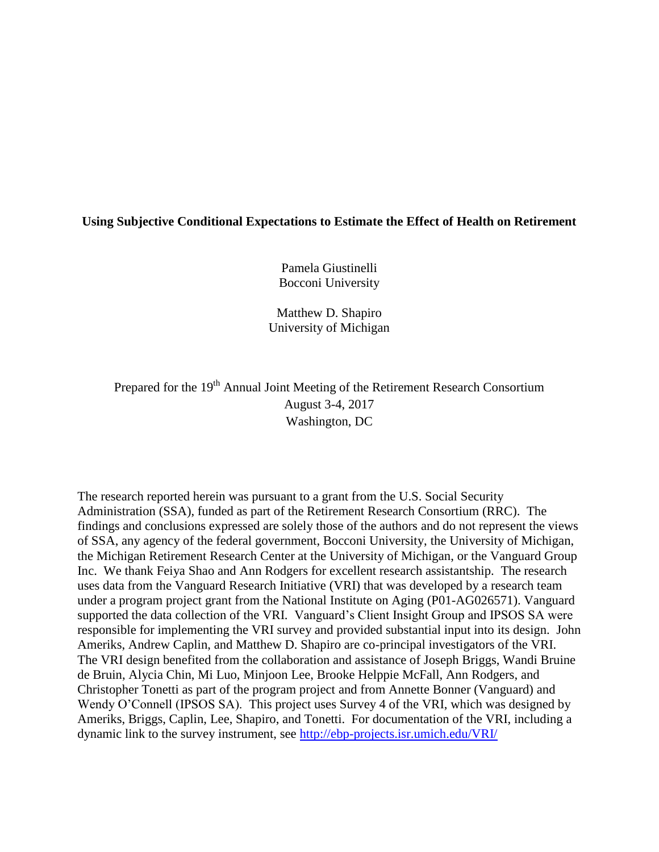## **Using Subjective Conditional Expectations to Estimate the Effect of Health on Retirement**

Pamela Giustinelli Bocconi University

Matthew D. Shapiro University of Michigan

Prepared for the 19<sup>th</sup> Annual Joint Meeting of the Retirement Research Consortium August 3-4, 2017 Washington, DC

The research reported herein was pursuant to a grant from the U.S. Social Security Administration (SSA), funded as part of the Retirement Research Consortium (RRC). The findings and conclusions expressed are solely those of the authors and do not represent the views of SSA, any agency of the federal government, Bocconi University, the University of Michigan, the Michigan Retirement Research Center at the University of Michigan, or the Vanguard Group Inc. We thank Feiya Shao and Ann Rodgers for excellent research assistantship. The research uses data from the Vanguard Research Initiative (VRI) that was developed by a research team under a program project grant from the National Institute on Aging (P01-AG026571). Vanguard supported the data collection of the VRI. Vanguard's Client Insight Group and IPSOS SA were responsible for implementing the VRI survey and provided substantial input into its design. John Ameriks, Andrew Caplin, and Matthew D. Shapiro are co-principal investigators of the VRI. The VRI design benefited from the collaboration and assistance of Joseph Briggs, Wandi Bruine de Bruin, Alycia Chin, Mi Luo, Minjoon Lee, Brooke Helppie McFall, Ann Rodgers, and Christopher Tonetti as part of the program project and from Annette Bonner (Vanguard) and Wendy O'Connell (IPSOS SA). This project uses Survey 4 of the VRI, which was designed by Ameriks, Briggs, Caplin, Lee, Shapiro, and Tonetti. For documentation of the VRI, including a dynamic link to the survey instrument, see<http://ebp-projects.isr.umich.edu/VRI/>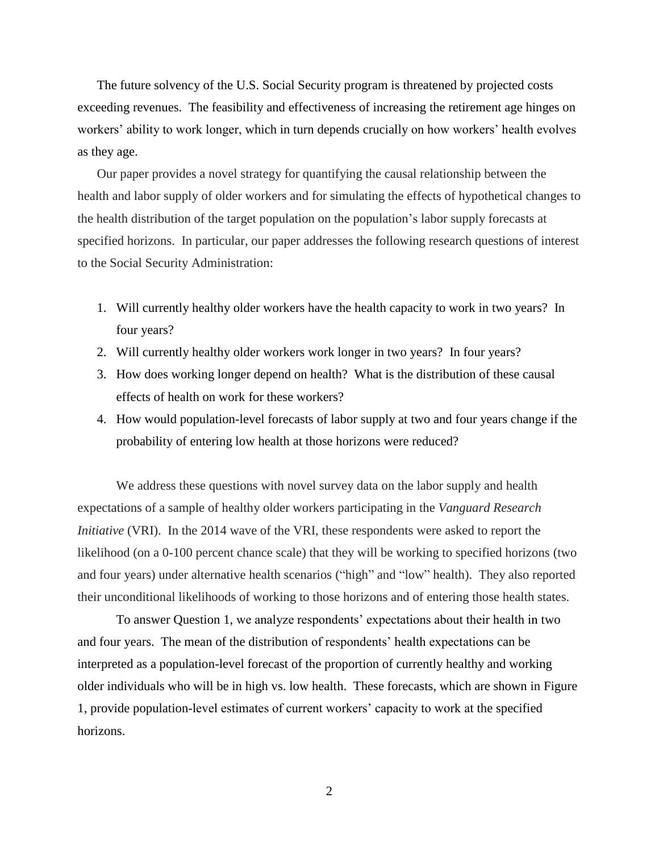The future solvency of the U.S. Social Security program is threatened by projected costs exceeding revenues. The feasibility and effectiveness of increasing the retirement age hinges on workers' ability to work longer, which in turn depends crucially on how workers' health evolves as they age.

Our paper provides a novel strategy for quantifying the causal relationship between the health and labor supply of older workers and for simulating the effects of hypothetical changes to the health distribution of the target population on the population's labor supply forecasts at specified horizons. In particular, our paper addresses the following research questions of interest to the Social Security Administration:

- 1. Will currently healthy older workers have the health capacity to work in two years? In four years?
- 2. Will currently healthy older workers work longer in two years? In four years?
- 3. How does working longer depend on health? What is the distribution of these causal effects of health on work for these workers?
- 4. How would population-level forecasts of labor supply at two and four years change if the probability of entering low health at those horizons were reduced?

We address these questions with novel survey data on the labor supply and health expectations of a sample of healthy older workers participating in the *Vanguard Research Initiative* (VRI). In the 2014 wave of the VRI, these respondents were asked to report the likelihood (on a 0-100 percent chance scale) that they will be working to specified horizons (two and four years) under alternative health scenarios ("high" and "low" health). They also reported their unconditional likelihoods of working to those horizons and of entering those health states.

To answer Question 1, we analyze respondents' expectations about their health in two and four years. The mean of the distribution of respondents' health expectations can be interpreted as a population-level forecast of the proportion of currently healthy and working older individuals who will be in high vs. low health. These forecasts, which are shown in Figure 1, provide population-level estimates of current workers' capacity to work at the specified horizons.

2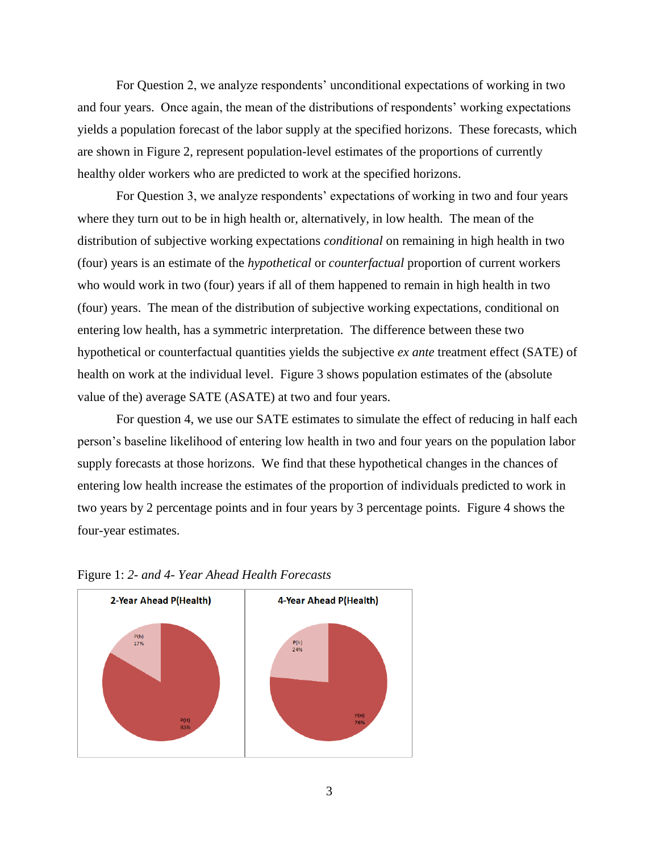For Question 2, we analyze respondents' unconditional expectations of working in two and four years. Once again, the mean of the distributions of respondents' working expectations yields a population forecast of the labor supply at the specified horizons. These forecasts, which are shown in Figure 2, represent population-level estimates of the proportions of currently healthy older workers who are predicted to work at the specified horizons.

For Question 3, we analyze respondents' expectations of working in two and four years where they turn out to be in high health or, alternatively, in low health. The mean of the distribution of subjective working expectations *conditional* on remaining in high health in two (four) years is an estimate of the *hypothetical* or *counterfactual* proportion of current workers who would work in two (four) years if all of them happened to remain in high health in two (four) years. The mean of the distribution of subjective working expectations, conditional on entering low health, has a symmetric interpretation. The difference between these two hypothetical or counterfactual quantities yields the subjective *ex ante* treatment effect (SATE) of health on work at the individual level. Figure 3 shows population estimates of the (absolute value of the) average SATE (ASATE) at two and four years.

For question 4, we use our SATE estimates to simulate the effect of reducing in half each person's baseline likelihood of entering low health in two and four years on the population labor supply forecasts at those horizons. We find that these hypothetical changes in the chances of entering low health increase the estimates of the proportion of individuals predicted to work in two years by 2 percentage points and in four years by 3 percentage points. Figure 4 shows the four-year estimates.